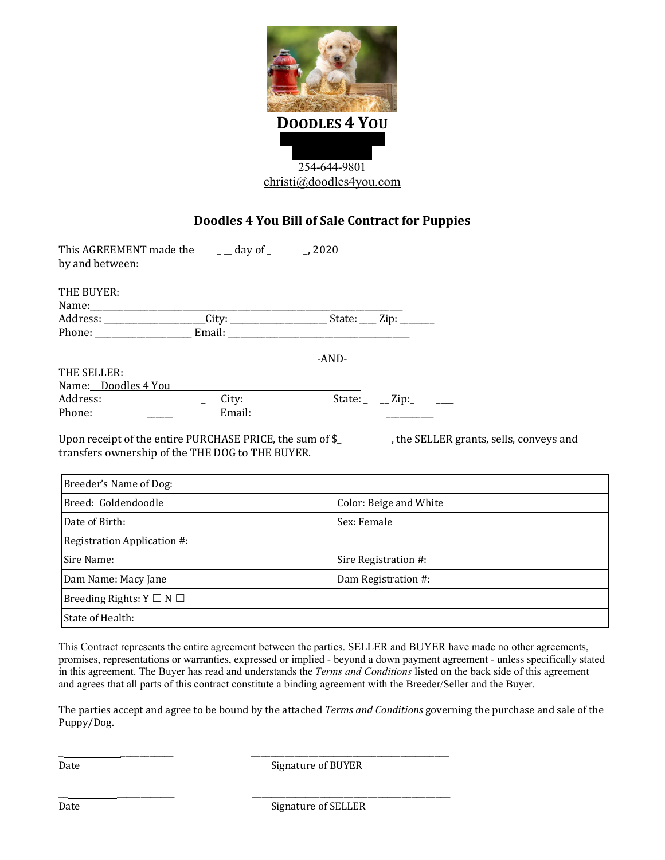

## **Doodles 4 You Bill of Sale Contract for Puppies**

| This AGREEMENT made the ______ day of ________ 2020<br>by and between: |  |         |                        |  |
|------------------------------------------------------------------------|--|---------|------------------------|--|
| THE BUYER:                                                             |  |         |                        |  |
|                                                                        |  |         |                        |  |
|                                                                        |  |         |                        |  |
| Phone: Email: Email:                                                   |  |         |                        |  |
|                                                                        |  | $-AND-$ |                        |  |
| THE SELLER:                                                            |  |         |                        |  |
| Name: Doodles 4 You                                                    |  |         |                        |  |
| Address: City: Cambridge City: City: State: Zip:                       |  |         |                        |  |
|                                                                        |  |         |                        |  |
| transfers ownership of the THE DOG to THE BUYER.                       |  |         |                        |  |
| Breeder's Name of Dog:                                                 |  |         |                        |  |
| Breed: Goldendoodle                                                    |  |         | Color: Beige and White |  |
| Date of Birth:                                                         |  |         | Sex: Female            |  |
| Registration Application #:                                            |  |         |                        |  |
| Sire Name:                                                             |  |         | Sire Registration #:   |  |
| Dam Name: Macy Jane                                                    |  |         | Dam Registration #:    |  |
| Breeding Rights: $Y \square N \square$                                 |  |         |                        |  |

This Contract represents the entire agreement between the parties. SELLER and BUYER have made no other agreements, promises, representations or warranties, expressed or implied - beyond a down payment agreement - unless specifically stated in this agreement. The Buyer has read and understands the *Terms and Conditions* listed on the back side of this agreement and agrees that all parts of this contract constitute a binding agreement with the Breeder/Seller and the Buyer.

The parties accept and agree to be bound by the attached *Terms and Conditions* governing the purchase and sale of the Puppy/Dog.

State of Health:

Date Signature of BUYER

\_ \_\_\_\_\_\_\_\_\_\_\_ \_\_\_\_\_\_\_\_\_\_\_\_\_\_\_\_\_\_\_\_\_\_\_\_\_\_\_\_\_\_\_\_\_\_\_\_\_\_\_\_\_

\_\_ \_\_\_\_\_\_\_\_\_\_\_\_ \_\_\_\_\_\_\_\_\_\_\_\_\_\_\_\_\_\_\_\_\_\_\_\_\_\_\_\_\_\_\_\_\_\_\_\_\_\_\_\_\_